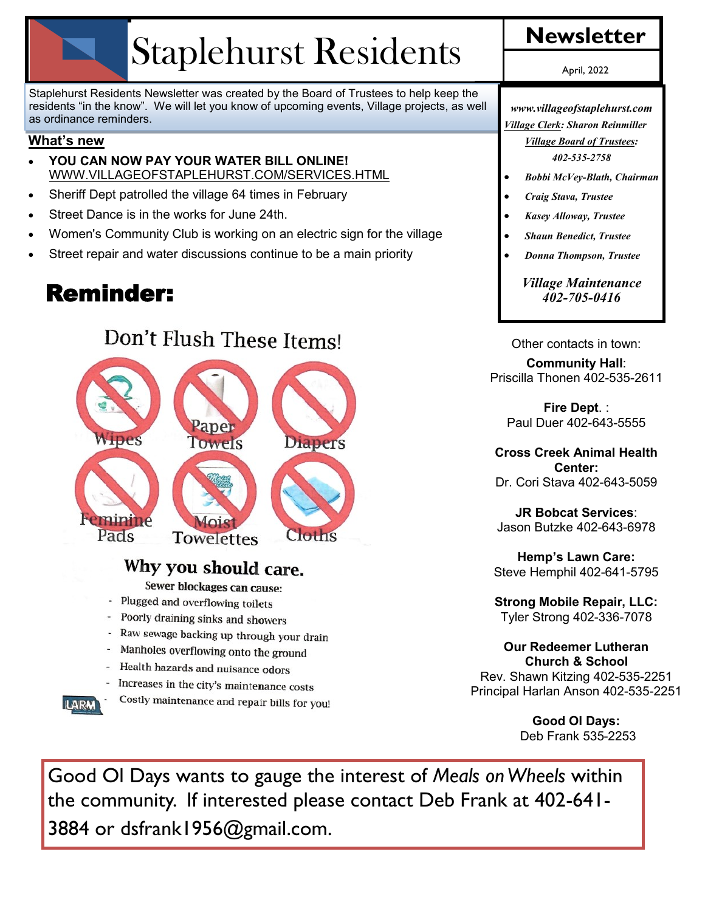# Staplehurst Residents

Staplehurst Residents Newsletter was created by the Board of Trustees to help keep the residents "in the know". We will let you know of upcoming events, Village projects, as well as ordinance reminders.

#### **What's new**

- **YOU CAN NOW PAY YOUR WATER BILL ONLINE!**  WWW.VILLAGEOFSTAPLEHURST.COM/SERVICES.HTML
- Sheriff Dept patrolled the village 64 times in February
- Street Dance is in the works for June 24th.
- Women's Community Club is working on an electric sign for the village
- Street repair and water discussions continue to be a main priority

# Reminder:

# Don't Flush These Items!



### Why you should care.

Sewer blockages can cause:

- Plugged and overflowing toilets
- Poorly draining sinks and showers
- Raw sewage backing up through your drain ¥
- Manholes overflowing onto the ground
- Health hazards and nuisance odors
- Increases in the city's maintenance costs



Costly maintenance and repair bills for you!

April, 2022

*www.villageofstaplehurst.com Village Clerk: Sharon Reinmiller*

*Village Board of Trustees: 402-535-2758*

- *Bobbi McVey-Blath, Chairman*
- *Craig Stava, Trustee*
- *Kasey Alloway, Trustee*
- *Shaun Benedict, Trustee*
- *Donna Thompson, Trustee*

*Village Maintenance 402-705-0416*

Other contacts in town:

#### **Community Hall**: Priscilla Thonen 402-535-2611

**Fire Dept**. : Paul Duer 402-643-5555

**Cross Creek Animal Health Center:**  Dr. Cori Stava 402-643-5059

**JR Bobcat Services**: Jason Butzke 402-643-6978

**Hemp's Lawn Care:** Steve Hemphil 402-641-5795

**Strong Mobile Repair, LLC:** Tyler Strong 402-336-7078

**Our Redeemer Lutheran Church & School** Rev. Shawn Kitzing 402-535-2251 Principal Harlan Anson 402-535-2251

> **Good Ol Days:** Deb Frank 535-2253

Good Ol Days wants to gauge the interest of *Meals on Wheels* within the community. If interested please contact Deb Frank at 402-641- 3884 or dsfrank1956@gmail.com.